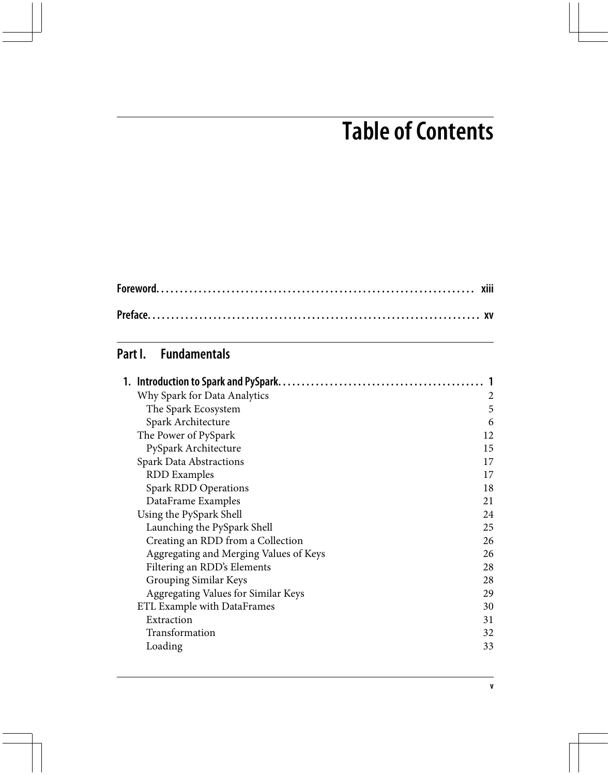## **Table of Contents**

## **Part I. Fundamentals**

| Why Spark for Data Analytics           | 2  |
|----------------------------------------|----|
| The Spark Ecosystem                    | 5  |
| Spark Architecture                     | 6  |
| The Power of PySpark                   | 12 |
| PySpark Architecture                   | 15 |
| <b>Spark Data Abstractions</b>         | 17 |
| <b>RDD</b> Examples                    | 17 |
| Spark RDD Operations                   | 18 |
| DataFrame Examples                     | 21 |
| Using the PySpark Shell                | 24 |
| Launching the PySpark Shell            | 25 |
| Creating an RDD from a Collection      | 26 |
| Aggregating and Merging Values of Keys | 26 |
| Filtering an RDD's Elements            | 28 |
| Grouping Similar Keys                  | 28 |
| Aggregating Values for Similar Keys    | 29 |
| ETL Example with DataFrames            | 30 |
| Extraction                             | 31 |
| Transformation                         | 32 |
| Loading                                | 33 |
|                                        |    |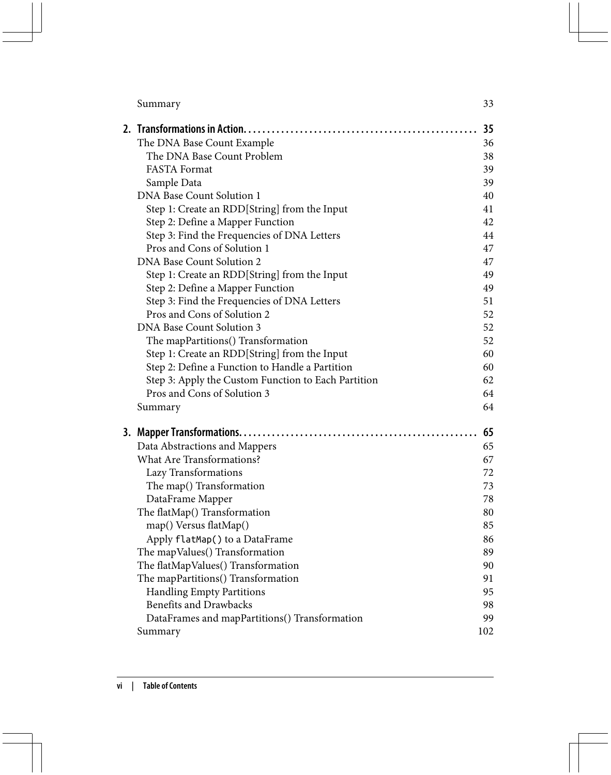|                                                     | 35  |
|-----------------------------------------------------|-----|
| The DNA Base Count Example                          | 36  |
| The DNA Base Count Problem                          | 38  |
| <b>FASTA Format</b>                                 | 39  |
| Sample Data                                         | 39  |
| DNA Base Count Solution 1                           | 40  |
| Step 1: Create an RDD[String] from the Input        | 41  |
| Step 2: Define a Mapper Function                    | 42  |
| Step 3: Find the Frequencies of DNA Letters         | 44  |
| Pros and Cons of Solution 1                         | 47  |
| DNA Base Count Solution 2                           | 47  |
| Step 1: Create an RDD[String] from the Input        | 49  |
| Step 2: Define a Mapper Function                    | 49  |
| Step 3: Find the Frequencies of DNA Letters         | 51  |
| Pros and Cons of Solution 2                         | 52  |
| DNA Base Count Solution 3                           | 52  |
| The mapPartitions() Transformation                  | 52  |
| Step 1: Create an RDD[String] from the Input        | 60  |
| Step 2: Define a Function to Handle a Partition     | 60  |
| Step 3: Apply the Custom Function to Each Partition | 62  |
| Pros and Cons of Solution 3                         | 64  |
| Summary                                             | 64  |
|                                                     | 65  |
| Data Abstractions and Mappers                       | 65  |
| What Are Transformations?                           | 67  |
| Lazy Transformations                                | 72  |
| The map() Transformation                            | 73  |
| DataFrame Mapper                                    | 78  |
| The flatMap() Transformation                        | 80  |
| map() Versus flatMap()                              | 85  |
| Apply flatMap() to a DataFrame                      | 86  |
| The mapValues() Transformation                      | 89  |
| The flatMapValues() Transformation                  | 90  |
| The mapPartitions() Transformation                  | 91  |
| <b>Handling Empty Partitions</b>                    | 95  |
| <b>Benefits and Drawbacks</b>                       | 98  |
| DataFrames and mapPartitions() Transformation       | 99  |
| Summary                                             | 102 |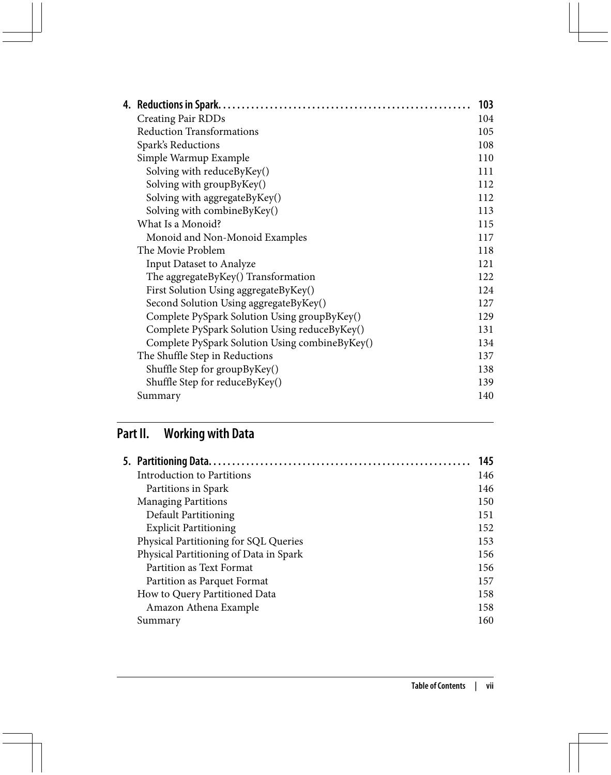|                                                | 103 |
|------------------------------------------------|-----|
| Creating Pair RDDs                             | 104 |
| <b>Reduction Transformations</b>               | 105 |
| Spark's Reductions                             | 108 |
| Simple Warmup Example                          | 110 |
| Solving with reduceByKey()                     | 111 |
| Solving with groupByKey()                      | 112 |
| Solving with aggregateByKey()                  | 112 |
| Solving with combineByKey()                    | 113 |
| What Is a Monoid?                              | 115 |
| Monoid and Non-Monoid Examples                 | 117 |
| The Movie Problem                              | 118 |
| Input Dataset to Analyze                       | 121 |
| The aggregateByKey() Transformation            | 122 |
| First Solution Using aggregateByKey()          | 124 |
| Second Solution Using aggregateByKey()         | 127 |
| Complete PySpark Solution Using groupByKey()   | 129 |
| Complete PySpark Solution Using reduceByKey()  | 131 |
| Complete PySpark Solution Using combineByKey() | 134 |
| The Shuffle Step in Reductions                 | 137 |
| Shuffle Step for groupByKey()                  | 138 |
| Shuffle Step for reduceByKey()                 | 139 |
| Summary                                        | 140 |
|                                                |     |

## **Part II. Working with Data**

|                                        | 145 |
|----------------------------------------|-----|
| Introduction to Partitions             | 146 |
| Partitions in Spark                    | 146 |
| <b>Managing Partitions</b>             | 150 |
| Default Partitioning                   | 151 |
| <b>Explicit Partitioning</b>           | 152 |
| Physical Partitioning for SQL Queries  | 153 |
| Physical Partitioning of Data in Spark | 156 |
| Partition as Text Format               | 156 |
| Partition as Parquet Format            | 157 |
| How to Query Partitioned Data          | 158 |
| Amazon Athena Example                  | 158 |
| Summary                                | 160 |
|                                        |     |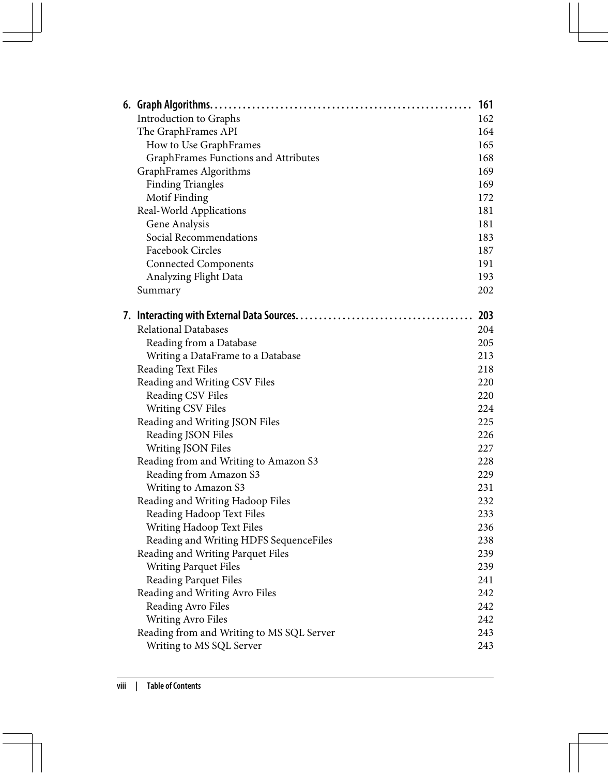|  |                                           | 161 |
|--|-------------------------------------------|-----|
|  | Introduction to Graphs                    | 162 |
|  | The GraphFrames API                       | 164 |
|  | How to Use GraphFrames                    | 165 |
|  | GraphFrames Functions and Attributes      | 168 |
|  | GraphFrames Algorithms                    | 169 |
|  | <b>Finding Triangles</b>                  | 169 |
|  | Motif Finding                             | 172 |
|  | Real-World Applications                   | 181 |
|  | Gene Analysis                             | 181 |
|  | Social Recommendations                    | 183 |
|  | Facebook Circles                          | 187 |
|  | <b>Connected Components</b>               | 191 |
|  | Analyzing Flight Data                     | 193 |
|  | Summary                                   | 202 |
|  |                                           | 203 |
|  | <b>Relational Databases</b>               | 204 |
|  | Reading from a Database                   | 205 |
|  | Writing a DataFrame to a Database         | 213 |
|  | <b>Reading Text Files</b>                 | 218 |
|  | Reading and Writing CSV Files             | 220 |
|  | Reading CSV Files                         | 220 |
|  | <b>Writing CSV Files</b>                  | 224 |
|  | Reading and Writing JSON Files            | 225 |
|  | Reading JSON Files                        | 226 |
|  | Writing JSON Files                        | 227 |
|  | Reading from and Writing to Amazon S3     | 228 |
|  | Reading from Amazon S3                    | 229 |
|  | Writing to Amazon S3                      | 231 |
|  | Reading and Writing Hadoop Files          | 232 |
|  | Reading Hadoop Text Files                 | 233 |
|  | Writing Hadoop Text Files                 | 236 |
|  | Reading and Writing HDFS SequenceFiles    | 238 |
|  | Reading and Writing Parquet Files         | 239 |
|  | <b>Writing Parquet Files</b>              | 239 |
|  | Reading Parquet Files                     | 241 |
|  | Reading and Writing Avro Files            | 242 |
|  | Reading Avro Files                        | 242 |
|  | <b>Writing Avro Files</b>                 | 242 |
|  | Reading from and Writing to MS SQL Server | 243 |
|  | Writing to MS SQL Server                  | 243 |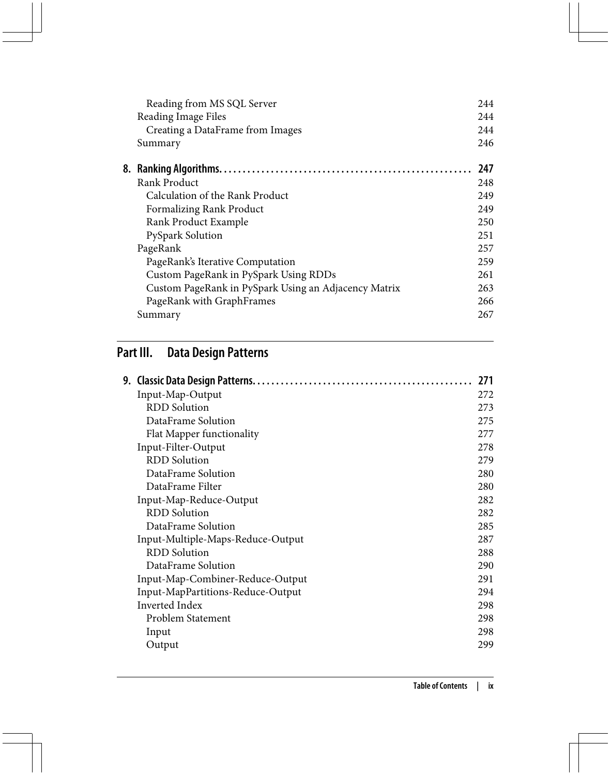| Reading from MS SQL Server                           | 244  |
|------------------------------------------------------|------|
| Reading Image Files                                  | 2.44 |
| Creating a DataFrame from Images                     | 244  |
| Summary                                              | 246  |
|                                                      | 247  |
| Rank Product                                         | 248  |
| Calculation of the Rank Product                      | 249  |
| Formalizing Rank Product                             | 249  |
| Rank Product Example                                 | 250  |
| <b>PySpark Solution</b>                              | 251  |
| PageRank                                             | 257  |
| PageRank's Iterative Computation                     | 259  |
| Custom PageRank in PySpark Using RDDs                | 261  |
| Custom PageRank in PySpark Using an Adjacency Matrix | 263  |
| PageRank with GraphFrames                            | 266  |
| Summary                                              | 267  |
|                                                      |      |

## **Part III. Data Design Patterns**

|                                   | 271 |
|-----------------------------------|-----|
| Input-Map-Output                  | 272 |
| <b>RDD</b> Solution               | 273 |
| DataFrame Solution                | 275 |
| Flat Mapper functionality         | 277 |
| Input-Filter-Output               | 278 |
| <b>RDD</b> Solution               | 279 |
| DataFrame Solution                | 280 |
| DataFrame Filter                  | 280 |
| Input-Map-Reduce-Output           | 282 |
| <b>RDD</b> Solution               | 282 |
| DataFrame Solution                | 285 |
| Input-Multiple-Maps-Reduce-Output | 287 |
| <b>RDD</b> Solution               | 288 |
| DataFrame Solution                | 290 |
| Input-Map-Combiner-Reduce-Output  | 291 |
| Input-MapPartitions-Reduce-Output | 294 |
| Inverted Index                    | 298 |
| Problem Statement                 | 298 |
| Input                             | 298 |
| Output                            | 299 |
|                                   |     |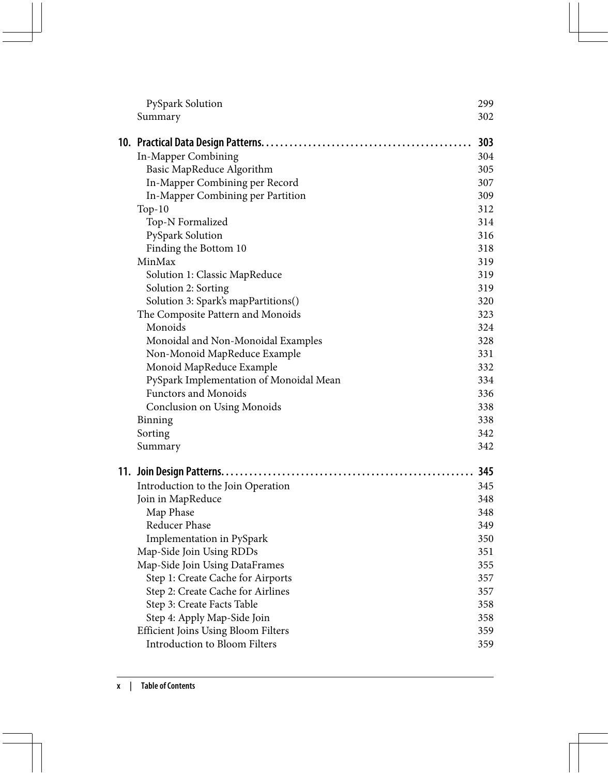| PySpark Solution                        | 299 |
|-----------------------------------------|-----|
| Summary                                 | 302 |
|                                         | 303 |
| In-Mapper Combining                     | 304 |
| Basic MapReduce Algorithm               | 305 |
| In-Mapper Combining per Record          | 307 |
| In-Mapper Combining per Partition       | 309 |
| $Top-10$                                | 312 |
| Top-N Formalized                        | 314 |
| PySpark Solution                        | 316 |
| Finding the Bottom 10                   | 318 |
| MinMax                                  | 319 |
| Solution 1: Classic MapReduce           | 319 |
| Solution 2: Sorting                     | 319 |
| Solution 3: Spark's mapPartitions()     | 320 |
| The Composite Pattern and Monoids       | 323 |
| Monoids                                 | 324 |
| Monoidal and Non-Monoidal Examples      | 328 |
| Non-Monoid MapReduce Example            | 331 |
| Monoid MapReduce Example                | 332 |
| PySpark Implementation of Monoidal Mean | 334 |
| <b>Functors and Monoids</b>             | 336 |
| Conclusion on Using Monoids             | 338 |
| Binning                                 | 338 |
| Sorting                                 | 342 |
| Summary                                 | 342 |
|                                         | 345 |
| Introduction to the Join Operation      | 345 |
| Join in MapReduce                       | 348 |
| Map Phase                               | 348 |
| Reducer Phase                           | 349 |
| Implementation in PySpark               | 350 |
| Map-Side Join Using RDDs                | 351 |
| Map-Side Join Using DataFrames          | 355 |
| Step 1: Create Cache for Airports       | 357 |
| Step 2: Create Cache for Airlines       | 357 |
| Step 3: Create Facts Table              | 358 |
| Step 4: Apply Map-Side Join             | 358 |
| Efficient Joins Using Bloom Filters     | 359 |
| Introduction to Bloom Filters           | 359 |